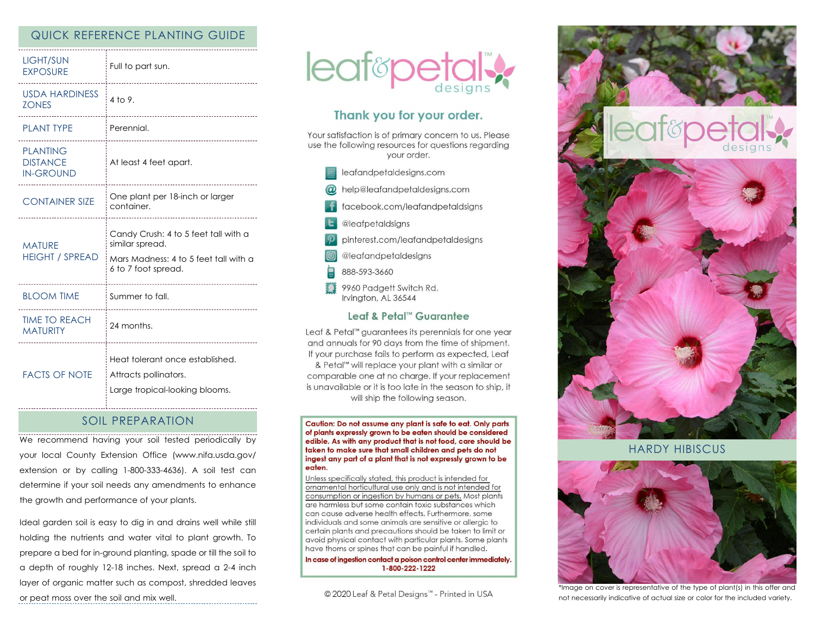# QUICK REFERENCE PLANTING GUIDE

| <b>LIGHT/SUN</b><br><b>EXPOSURE</b>                    | Full to part sun.<br>                                                                                                                                     |
|--------------------------------------------------------|-----------------------------------------------------------------------------------------------------------------------------------------------------------|
| <b>USDA HARDINESS</b><br><b>ZONES</b>                  | 4 to 9.<br>                                                                                                                                               |
| <b>PLANT TYPE</b>                                      | Perennial.                                                                                                                                                |
| <b>PLANTING</b><br><b>DISTANCE</b><br><b>IN-GROUND</b> | At least 4 feet apart.                                                                                                                                    |
| <b>CONTAINER SIZE</b>                                  | One plant per 18-inch or larger<br>container.                                                                                                             |
| <b>MATURE</b><br><b>HEIGHT / SPREAD</b>                | Candy Crush: 4 to 5 feet tall with a<br>similar spread.<br>Mars Madness: 4 to 5 feet tall with a<br>6 to 7 foot spread.<br>------------------------------ |
| <b>BLOOM TIME</b>                                      | Summer to fall.                                                                                                                                           |
| <b>TIME TO REACH</b><br><b>MATURITY</b>                | -----------------------------------<br>24 months.                                                                                                         |
| <b>FACTS OF NOTE</b>                                   | Heat tolerant once established.<br>Attracts pollinators.<br>Large tropical-looking blooms.                                                                |

# SOIL PREPARATION

We recommend having your soil tested periodically by your local County Extension Office (www.nifa.usda.gov/ extension or by calling 1-800-333-4636). A soil test can determine if your soil needs any amendments to enhance the growth and performance of your plants.

Ideal garden soil is easy to dig in and drains well while still holding the nutrients and water vital to plant growth. To prepare a bed for in-ground planting, spade or till the soil to a depth of roughly 12-18 inches. Next, spread a 2-4 inch layer of organic matter such as compost, shredded leaves or peat moss over the soil and mix well.



# Thank you for your order.

Your satisfaction is of primary concern to us. Please use the following resources for questions regarding vour order.

- $\equiv$  leafandpetaldesigns.com
- @ help@leafandpetaldesigns.com
- facebook.com/leafandpetaldsigns
- **L** @leafpetaldsigns
- pinterest.com/leafandpetaldesigns
- @leafandpetaldesigns
- 888-593-3660
- 9960 Padgett Switch Rd. Irvington, AL 36544

### Leaf & Petal™ Guarantee

Leaf & Petal™ guarantees its perennials for one year and annuals for 90 days from the time of shipment. If your purchase fails to perform as expected, Leaf & Petal<sup>™</sup> will replace your plant with a similar or comparable one at no charge. If your replacement is unavailable or it is too late in the season to ship, it will ship the following season.

Caution: Do not assume any plant is safe to eat. Only parts of plants expressly grown to be eaten should be considered edible. As with any product that is not food, care should be taken to make sure that small children and pets do not ingest any part of a plant that is not expressly grown to be eaten.

Unless specifically stated, this product is intended for ornamental horticultural use only and is not intended for consumption or ingestion by humans or pets. Most plants are harmless but some contain toxic substances which can cause adverse health effects. Furthermore, some individuals and some animals are sensitive or allergic to certain plants and precautions should be taken to limit or avoid physical contact with particular plants. Some plants have thorns or spines that can be painful if handled.

In case of ingestion contact a poison control center immediately. 1-800-222-1222

© 2020 Leaf & Petal Designs™ - Printed in USA



HARDY HIBISCUS



\*Image on cover is representative of the type of plant(s) in this offer and not necessarily indicative of actual size or color for the included variety.